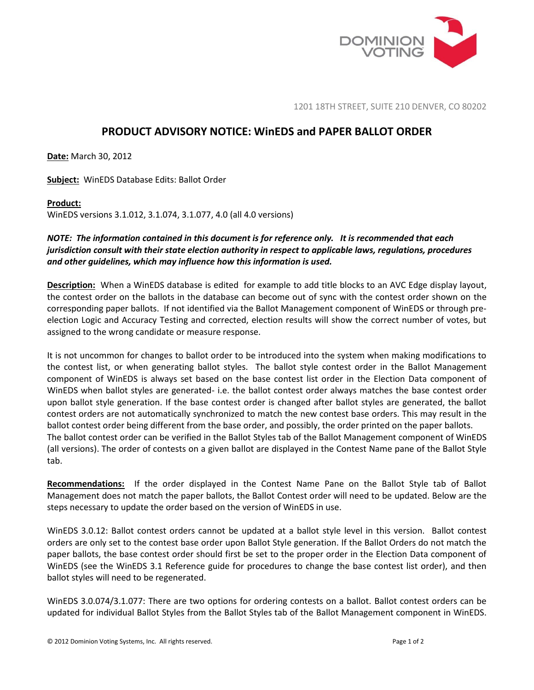

1201 18TH STREET, SUITE 210 DENVER, CO 80202

## **PRODUCT ADVISORY NOTICE: WinEDS and PAPER BALLOT ORDER**

**Date:** March 30, 2012

**Subject:** WinEDS Database Edits: Ballot Order

## **Product:**

WinEDS versions 3.1.012, 3.1.074, 3.1.077, 4.0 (all 4.0 versions)

## *NOTE: The information contained in this document is for reference only. It is recommended that each jurisdiction consult with their state election authority in respect to applicable laws, regulations, procedures and other guidelines, which may influence how this information is used.*

**Description:** When a WinEDS database is edited for example to add title blocks to an AVC Edge display layout, the contest order on the ballots in the database can become out of sync with the contest order shown on the corresponding paper ballots. If not identified via the Ballot Management component of WinEDS or through preelection Logic and Accuracy Testing and corrected, election results will show the correct number of votes, but assigned to the wrong candidate or measure response.

It is not uncommon for changes to ballot order to be introduced into the system when making modifications to the contest list, or when generating ballot styles. The ballot style contest order in the Ballot Management component of WinEDS is always set based on the base contest list order in the Election Data component of WinEDS when ballot styles are generated- i.e. the ballot contest order always matches the base contest order upon ballot style generation. If the base contest order is changed after ballot styles are generated, the ballot contest orders are not automatically synchronized to match the new contest base orders. This may result in the ballot contest order being different from the base order, and possibly, the order printed on the paper ballots. The ballot contest order can be verified in the Ballot Styles tab of the Ballot Management component of WinEDS (all versions). The order of contests on a given ballot are displayed in the Contest Name pane of the Ballot Style tab.

**Recommendations:** If the order displayed in the Contest Name Pane on the Ballot Style tab of Ballot Management does not match the paper ballots, the Ballot Contest order will need to be updated. Below are the steps necessary to update the order based on the version of WinEDS in use.

WinEDS 3.0.12: Ballot contest orders cannot be updated at a ballot style level in this version. Ballot contest orders are only set to the contest base order upon Ballot Style generation. If the Ballot Orders do not match the paper ballots, the base contest order should first be set to the proper order in the Election Data component of WinEDS (see the WinEDS 3.1 Reference guide for procedures to change the base contest list order), and then ballot styles will need to be regenerated.

WinEDS 3.0.074/3.1.077: There are two options for ordering contests on a ballot. Ballot contest orders can be updated for individual Ballot Styles from the Ballot Styles tab of the Ballot Management component in WinEDS.